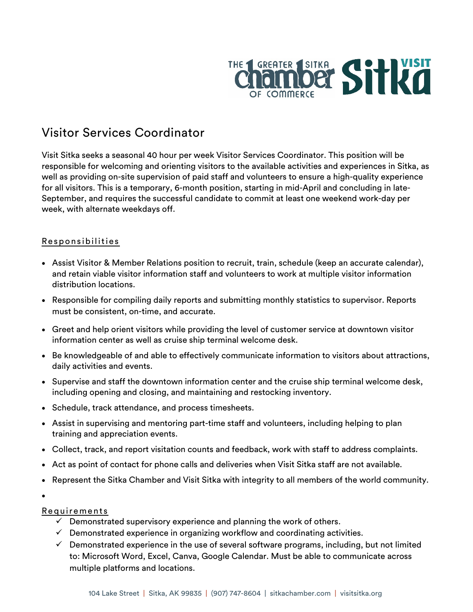

# Visitor Services Coordinator

Visit Sitka seeks a seasonal 40 hour per week Visitor Services Coordinator. This position will be responsible for welcoming and orienting visitors to the available activities and experiences in Sitka, as well as providing on-site supervision of paid staff and volunteers to ensure a high-quality experience for all visitors. This is a temporary, 6-month position, starting in mid-April and concluding in late-September, and requires the successful candidate to commit at least one weekend work-day per week, with alternate weekdays off.

## Responsibilities

- Assist Visitor & Member Relations position to recruit, train, schedule (keep an accurate calendar), and retain viable visitor information staff and volunteers to work at multiple visitor information distribution locations.
- Responsible for compiling daily reports and submitting monthly statistics to supervisor. Reports must be consistent, on-time, and accurate.
- Greet and help orient visitors while providing the level of customer service at downtown visitor information center as well as cruise ship terminal welcome desk.
- Be knowledgeable of and able to effectively communicate information to visitors about attractions, daily activities and events.
- Supervise and staff the downtown information center and the cruise ship terminal welcome desk, including opening and closing, and maintaining and restocking inventory.
- Schedule, track attendance, and process timesheets.
- Assist in supervising and mentoring part-time staff and volunteers, including helping to plan training and appreciation events.
- Collect, track, and report visitation counts and feedback, work with staff to address complaints.
- Act as point of contact for phone calls and deliveries when Visit Sitka staff are not available.
- Represent the Sitka Chamber and Visit Sitka with integrity to all members of the world community.
- •

Requirements

- $\checkmark$  Demonstrated supervisory experience and planning the work of others.
- $\checkmark$  Demonstrated experience in organizing workflow and coordinating activities.
- $\checkmark$  Demonstrated experience in the use of several software programs, including, but not limited to: Microsoft Word, Excel, Canva, Google Calendar. Must be able to communicate across multiple platforms and locations.